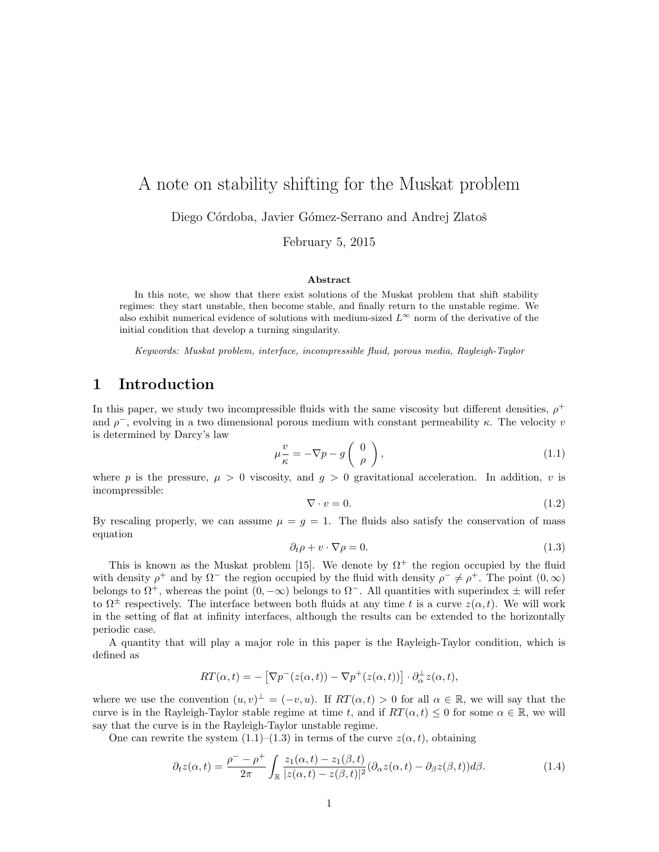# A note on stability shifting for the Muskat problem

Diego Córdoba, Javier Gómez-Serrano and Andrej Zlatoš

February 5, 2015

#### Abstract

In this note, we show that there exist solutions of the Muskat problem that shift stability regimes: they start unstable, then become stable, and finally return to the unstable regime. We also exhibit numerical evidence of solutions with medium-sized  $L^{\infty}$  norm of the derivative of the initial condition that develop a turning singularity.

Keywords: Muskat problem, interface, incompressible fluid, porous media, Rayleigh-Taylor

# 1 Introduction

In this paper, we study two incompressible fluids with the same viscosity but different densities,  $\rho^+$ and  $\rho^-$ , evolving in a two dimensional porous medium with constant permeability  $\kappa$ . The velocity v is determined by Darcy's law

$$
\mu \frac{v}{\kappa} = -\nabla p - g \begin{pmatrix} 0 \\ \rho \end{pmatrix},\tag{1.1}
$$

where p is the pressure,  $\mu > 0$  viscosity, and  $g > 0$  gravitational acceleration. In addition, v is incompressible:

$$
\nabla \cdot v = 0. \tag{1.2}
$$

By rescaling properly, we can assume  $\mu = g = 1$ . The fluids also satisfy the conservation of mass equation

$$
\partial_t \rho + v \cdot \nabla \rho = 0. \tag{1.3}
$$

This is known as the Muskat problem [15]. We denote by  $\Omega^+$  the region occupied by the fluid with density  $\rho^+$  and by  $\Omega^-$  the region occupied by the fluid with density  $\rho^- \neq \rho^+$ . The point  $(0, \infty)$ belongs to  $\Omega^+$ , whereas the point  $(0, -\infty)$  belongs to  $\Omega^-$ . All quantities with superindex  $\pm$  will refer to  $\Omega^{\pm}$  respectively. The interface between both fluids at any time t is a curve  $z(\alpha, t)$ . We will work in the setting of flat at infinity interfaces, although the results can be extended to the horizontally periodic case.

A quantity that will play a major role in this paper is the Rayleigh-Taylor condition, which is defined as

$$
RT(\alpha, t) = -[\nabla p^-(z(\alpha, t)) - \nabla p^+(z(\alpha, t))] \cdot \partial^{\perp}_{\alpha} z(\alpha, t),
$$

where we use the convention  $(u, v)^{\perp} = (-v, u)$ . If  $RT(\alpha, t) > 0$  for all  $\alpha \in \mathbb{R}$ , we will say that the curve is in the Rayleigh-Taylor stable regime at time t, and if  $RT(\alpha, t) \leq 0$  for some  $\alpha \in \mathbb{R}$ , we will say that the curve is in the Rayleigh-Taylor unstable regime.

One can rewrite the system  $(1.1)$ – $(1.3)$  in terms of the curve  $z(\alpha, t)$ , obtaining

$$
\partial_t z(\alpha, t) = \frac{\rho^- - \rho^+}{2\pi} \int_{\mathbb{R}} \frac{z_1(\alpha, t) - z_1(\beta, t)}{|z(\alpha, t) - z(\beta, t)|^2} (\partial_\alpha z(\alpha, t) - \partial_\beta z(\beta, t)) d\beta.
$$
 (1.4)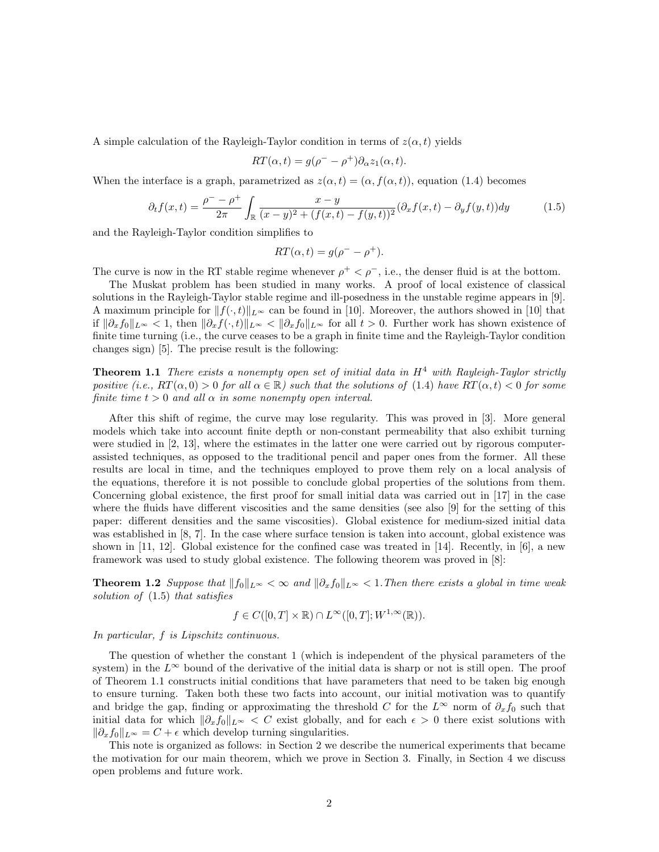A simple calculation of the Rayleigh-Taylor condition in terms of  $z(\alpha, t)$  yields

$$
RT(\alpha, t) = g(\rho^{-} - \rho^{+})\partial_{\alpha}z_{1}(\alpha, t).
$$

When the interface is a graph, parametrized as  $z(\alpha, t) = (\alpha, f(\alpha, t))$ , equation (1.4) becomes

$$
\partial_t f(x,t) = \frac{\rho^- - \rho^+}{2\pi} \int_{\mathbb{R}} \frac{x - y}{(x - y)^2 + (f(x, t) - f(y, t))^2} (\partial_x f(x, t) - \partial_y f(y, t)) dy \tag{1.5}
$$

and the Rayleigh-Taylor condition simplifies to

$$
RT(\alpha, t) = g(\rho^- - \rho^+).
$$

The curve is now in the RT stable regime whenever  $\rho^+ < \rho^-$ , i.e., the denser fluid is at the bottom.

The Muskat problem has been studied in many works. A proof of local existence of classical solutions in the Rayleigh-Taylor stable regime and ill-posedness in the unstable regime appears in [9]. A maximum principle for  $||f(\cdot, t)||_{L^{\infty}}$  can be found in [10]. Moreover, the authors showed in [10] that if  $\|\partial_x f_0\|_{L^{\infty}} < 1$ , then  $\|\partial_x f(\cdot, t)\|_{L^{\infty}} < \|\partial_x f_0\|_{L^{\infty}}$  for all  $t > 0$ . Further work has shown existence of finite time turning (i.e., the curve ceases to be a graph in finite time and the Rayleigh-Taylor condition changes sign) [5]. The precise result is the following:

**Theorem 1.1** There exists a nonempty open set of initial data in  $H<sup>4</sup>$  with Rayleigh-Taylor strictly positive (i.e.,  $RT(\alpha, 0) > 0$  for all  $\alpha \in \mathbb{R}$ ) such that the solutions of (1.4) have  $RT(\alpha, t) < 0$  for some finite time  $t > 0$  and all  $\alpha$  in some nonempty open interval.

After this shift of regime, the curve may lose regularity. This was proved in [3]. More general models which take into account finite depth or non-constant permeability that also exhibit turning were studied in [2, 13], where the estimates in the latter one were carried out by rigorous computerassisted techniques, as opposed to the traditional pencil and paper ones from the former. All these results are local in time, and the techniques employed to prove them rely on a local analysis of the equations, therefore it is not possible to conclude global properties of the solutions from them. Concerning global existence, the first proof for small initial data was carried out in [17] in the case where the fluids have different viscosities and the same densities (see also [9] for the setting of this paper: different densities and the same viscosities). Global existence for medium-sized initial data was established in [8, 7]. In the case where surface tension is taken into account, global existence was shown in  $[11, 12]$ . Global existence for the confined case was treated in  $[14]$ . Recently, in  $[6]$ , a new framework was used to study global existence. The following theorem was proved in [8]:

**Theorem 1.2** Suppose that  $||f_0||_{L^{\infty}} < \infty$  and  $||\partial_x f_0||_{L^{\infty}} < 1$ . Then there exists a global in time weak solution of (1.5) that satisfies

$$
f \in C([0, T] \times \mathbb{R}) \cap L^{\infty}([0, T]; W^{1, \infty}(\mathbb{R})).
$$

In particular, f is Lipschitz continuous.

The question of whether the constant 1 (which is independent of the physical parameters of the system) in the  $L^{\infty}$  bound of the derivative of the initial data is sharp or not is still open. The proof of Theorem 1.1 constructs initial conditions that have parameters that need to be taken big enough to ensure turning. Taken both these two facts into account, our initial motivation was to quantify and bridge the gap, finding or approximating the threshold C for the  $L^{\infty}$  norm of  $\partial_x f_0$  such that initial data for which  $\|\partial_x f_0\|_{L^{\infty}} < C$  exist globally, and for each  $\epsilon > 0$  there exist solutions with  $\|\partial_x f_0\|_{L^\infty} = C + \epsilon$  which develop turning singularities.

This note is organized as follows: in Section 2 we describe the numerical experiments that became the motivation for our main theorem, which we prove in Section 3. Finally, in Section 4 we discuss open problems and future work.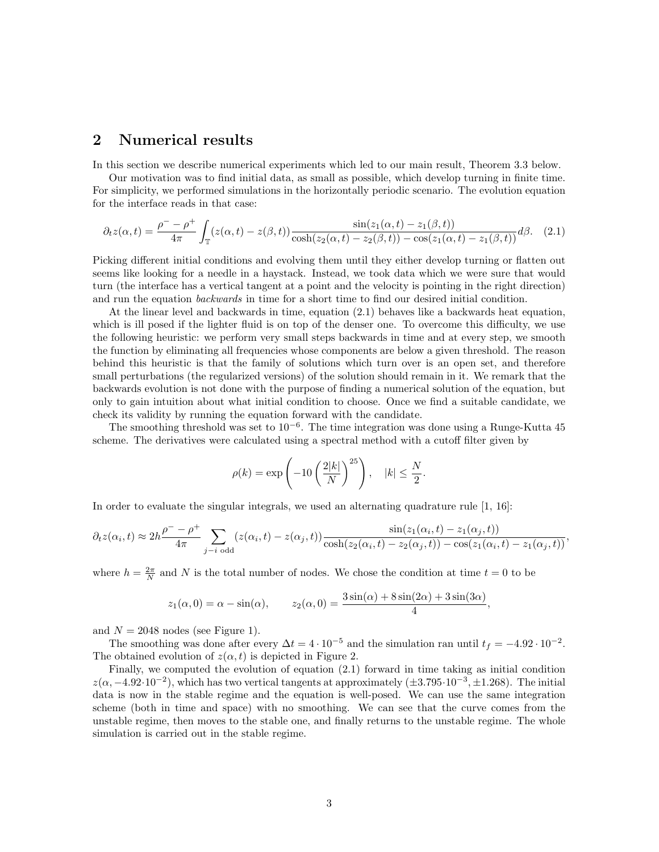### 2 Numerical results

In this section we describe numerical experiments which led to our main result, Theorem 3.3 below.

Our motivation was to find initial data, as small as possible, which develop turning in finite time. For simplicity, we performed simulations in the horizontally periodic scenario. The evolution equation for the interface reads in that case:

$$
\partial_t z(\alpha, t) = \frac{\rho^- - \rho^+}{4\pi} \int_{\mathbb{T}} (z(\alpha, t) - z(\beta, t)) \frac{\sin(z_1(\alpha, t) - z_1(\beta, t))}{\cosh(z_2(\alpha, t) - z_2(\beta, t)) - \cos(z_1(\alpha, t) - z_1(\beta, t))} d\beta. \tag{2.1}
$$

Picking different initial conditions and evolving them until they either develop turning or flatten out seems like looking for a needle in a haystack. Instead, we took data which we were sure that would turn (the interface has a vertical tangent at a point and the velocity is pointing in the right direction) and run the equation backwards in time for a short time to find our desired initial condition.

At the linear level and backwards in time, equation (2.1) behaves like a backwards heat equation, which is ill posed if the lighter fluid is on top of the denser one. To overcome this difficulty, we use the following heuristic: we perform very small steps backwards in time and at every step, we smooth the function by eliminating all frequencies whose components are below a given threshold. The reason behind this heuristic is that the family of solutions which turn over is an open set, and therefore small perturbations (the regularized versions) of the solution should remain in it. We remark that the backwards evolution is not done with the purpose of finding a numerical solution of the equation, but only to gain intuition about what initial condition to choose. Once we find a suitable candidate, we check its validity by running the equation forward with the candidate.

The smoothing threshold was set to  $10^{-6}$ . The time integration was done using a Runge-Kutta 45 scheme. The derivatives were calculated using a spectral method with a cutoff filter given by

$$
\rho(k) = \exp\left(-10\left(\frac{2|k|}{N}\right)^{25}\right), \quad |k| \le \frac{N}{2}.
$$

In order to evaluate the singular integrals, we used an alternating quadrature rule [1, 16]:

$$
\partial_t z(\alpha_i, t) \approx 2h \frac{\rho^- - \rho^+}{4\pi} \sum_{j-i \text{ odd}} (z(\alpha_i, t) - z(\alpha_j, t)) \frac{\sin(z_1(\alpha_i, t) - z_1(\alpha_j, t))}{\cosh(z_2(\alpha_i, t) - z_2(\alpha_j, t)) - \cos(z_1(\alpha_i, t) - z_1(\alpha_j, t))},
$$

where  $h = \frac{2\pi}{N}$  and N is the total number of nodes. We chose the condition at time  $t = 0$  to be

$$
z_1(\alpha, 0) = \alpha - \sin(\alpha),
$$
  $z_2(\alpha, 0) = \frac{3\sin(\alpha) + 8\sin(2\alpha) + 3\sin(3\alpha)}{4},$ 

and  $N = 2048$  nodes (see Figure 1).

The smoothing was done after every  $\Delta t = 4 \cdot 10^{-5}$  and the simulation ran until  $t_f = -4.92 \cdot 10^{-2}$ . The obtained evolution of  $z(\alpha, t)$  is depicted in Figure 2.

Finally, we computed the evolution of equation (2.1) forward in time taking as initial condition  $z(\alpha, -4.92 \cdot 10^{-2})$ , which has two vertical tangents at approximately  $(\pm 3.795 \cdot 10^{-3}, \pm 1.268)$ . The initial data is now in the stable regime and the equation is well-posed. We can use the same integration scheme (both in time and space) with no smoothing. We can see that the curve comes from the unstable regime, then moves to the stable one, and finally returns to the unstable regime. The whole simulation is carried out in the stable regime.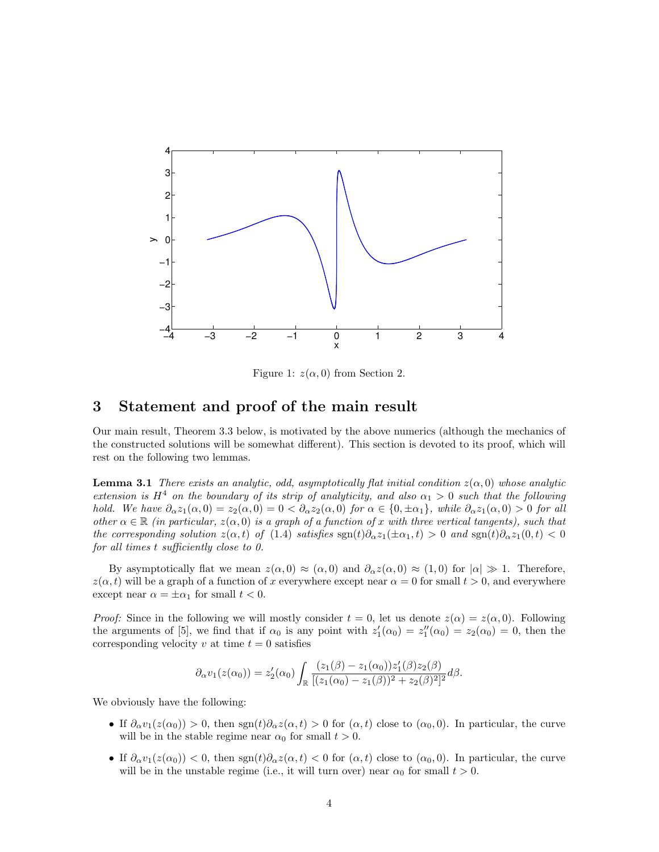

Figure 1:  $z(\alpha, 0)$  from Section 2.

### 3 Statement and proof of the main result

Our main result, Theorem 3.3 below, is motivated by the above numerics (although the mechanics of the constructed solutions will be somewhat different). This section is devoted to its proof, which will rest on the following two lemmas.

**Lemma 3.1** There exists an analytic, odd, asymptotically flat initial condition  $z(\alpha, 0)$  whose analytic extension is  $H^4$  on the boundary of its strip of analyticity, and also  $\alpha_1 > 0$  such that the following hold. We have  $\partial_{\alpha}z_1(\alpha,0)=z_2(\alpha,0)=0<\partial_{\alpha}z_2(\alpha,0)$  for  $\alpha\in\{0,\pm\alpha_1\}$ , while  $\partial_{\alpha}z_1(\alpha,0)>0$  for all other  $\alpha \in \mathbb{R}$  (in particular,  $z(\alpha, 0)$  is a graph of a function of x with three vertical tangents), such that the corresponding solution  $z(\alpha, t)$  of (1.4) satisfies  $\text{sgn}(t)\partial_{\alpha}z_1(\pm \alpha_1, t) > 0$  and  $\text{sgn}(t)\partial_{\alpha}z_1(0, t) < 0$ for all times t sufficiently close to 0.

By asymptotically flat we mean  $z(\alpha,0) \approx (\alpha,0)$  and  $\partial_{\alpha} z(\alpha,0) \approx (1,0)$  for  $|\alpha| \gg 1$ . Therefore,  $z(\alpha, t)$  will be a graph of a function of x everywhere except near  $\alpha = 0$  for small  $t > 0$ , and everywhere except near  $\alpha = \pm \alpha_1$  for small  $t < 0$ .

*Proof:* Since in the following we will mostly consider  $t = 0$ , let us denote  $z(\alpha) = z(\alpha, 0)$ . Following the arguments of [5], we find that if  $\alpha_0$  is any point with  $z'_1(\alpha_0) = z''_1(\alpha_0) = z_2(\alpha_0) = 0$ , then the corresponding velocity v at time  $t = 0$  satisfies

$$
\partial_{\alpha}v_1(z(\alpha_0)) = z_2'(\alpha_0) \int_{\mathbb{R}} \frac{(z_1(\beta) - z_1(\alpha_0))z_1'(\beta)z_2(\beta)}{[(z_1(\alpha_0) - z_1(\beta))^2 + z_2(\beta)^2]^2} d\beta.
$$

We obviously have the following:

- If  $\partial_\alpha v_1(z(\alpha_0)) > 0$ , then  $\text{sgn}(t)\partial_\alpha z(\alpha,t) > 0$  for  $(\alpha,t)$  close to  $(\alpha_0,0)$ . In particular, the curve will be in the stable regime near  $\alpha_0$  for small  $t > 0$ .
- If  $\partial_\alpha v_1(z(\alpha_0)) < 0$ , then  $\text{sgn}(t)\partial_\alpha z(\alpha,t) < 0$  for  $(\alpha,t)$  close to  $(\alpha_0,0)$ . In particular, the curve will be in the unstable regime (i.e., it will turn over) near  $\alpha_0$  for small  $t > 0$ .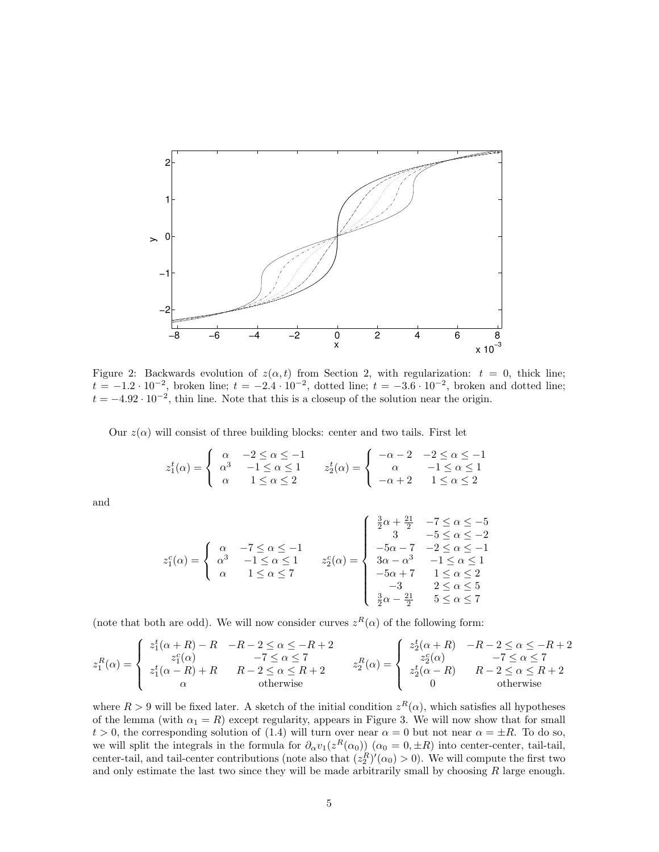

Figure 2: Backwards evolution of  $z(\alpha, t)$  from Section 2, with regularization:  $t = 0$ , thick line;  $t = -1.2 \cdot 10^{-2}$ , broken line;  $t = -2.4 \cdot 10^{-2}$ , dotted line;  $t = -3.6 \cdot 10^{-2}$ , broken and dotted line;  $t = -4.92 \cdot 10^{-2}$ , thin line. Note that this is a closeup of the solution near the origin.

Our  $z(\alpha)$  will consist of three building blocks: center and two tails. First let

$$
z_1^t(\alpha) = \begin{cases} \begin{array}{ccc} \alpha & -2 \leq \alpha \leq -1 \\ \alpha^3 & -1 \leq \alpha \leq 1 \\ \alpha & 1 \leq \alpha \leq 2 \end{array} \end{cases} \qquad z_2^t(\alpha) = \begin{cases} \begin{array}{ccc} -\alpha - 2 & -2 \leq \alpha \leq -1 \\ \alpha & -1 \leq \alpha \leq 1 \\ -\alpha + 2 & 1 \leq \alpha \leq 2 \end{array} \end{cases}
$$

and

$$
z_1^c(\alpha) = \begin{cases} \alpha & -7 \leq \alpha \leq -1 \\ \alpha^3 & -1 \leq \alpha \leq 1 \\ \alpha & 1 \leq \alpha \leq 7 \end{cases} \qquad z_2^c(\alpha) = \begin{cases} \frac{3}{2}\alpha + \frac{21}{2} & -7 \leq \alpha \leq -5 \\ 3 & -5 \leq \alpha \leq -2 \\ -5\alpha - 7 & -2 \leq \alpha \leq -1 \\ 3\alpha - \alpha^3 & -1 \leq \alpha \leq 1 \\ -5\alpha + 7 & 1 \leq \alpha \leq 2 \\ -3 & 2 \leq \alpha \leq 5 \\ \frac{3}{2}\alpha - \frac{21}{2} & 5 \leq \alpha \leq 7 \end{cases}
$$

(note that both are odd). We will now consider curves  $z^R(\alpha)$  of the following form:

$$
z_1^R(\alpha) = \begin{cases} z_1^t(\alpha + R) - R & -R - 2 \leq \alpha \leq -R + 2 \\ z_1^c(\alpha) & -7 \leq \alpha \leq 7 \\ z_1^t(\alpha - R) + R & R - 2 \leq \alpha \leq R + 2 \\ \alpha & \text{otherwise} \end{cases} \qquad z_2^R(\alpha) = \begin{cases} z_2^t(\alpha + R) & -R - 2 \leq \alpha \leq -R + 2 \\ z_2^c(\alpha) & -7 \leq \alpha \leq 7 \\ z_2^t(\alpha - R) & R - 2 \leq \alpha \leq R + 2 \\ 0 & \text{otherwise} \end{cases}
$$

where  $R > 9$  will be fixed later. A sketch of the initial condition  $z^R(\alpha)$ , which satisfies all hypotheses of the lemma (with  $\alpha_1 = R$ ) except regularity, appears in Figure 3. We will now show that for small  $t > 0$ , the corresponding solution of (1.4) will turn over near  $\alpha = 0$  but not near  $\alpha = \pm R$ . To do so, we will split the integrals in the formula for  $\partial_\alpha v_1(z^R(\alpha_0))$   $(\alpha_0 = 0, \pm R)$  into center-center, tail-tail, center-tail, and tail-center contributions (note also that  $(z_2^R)'(\alpha_0) > 0$ ). We will compute the first two and only estimate the last two since they will be made arbitrarily small by choosing  $R$  large enough.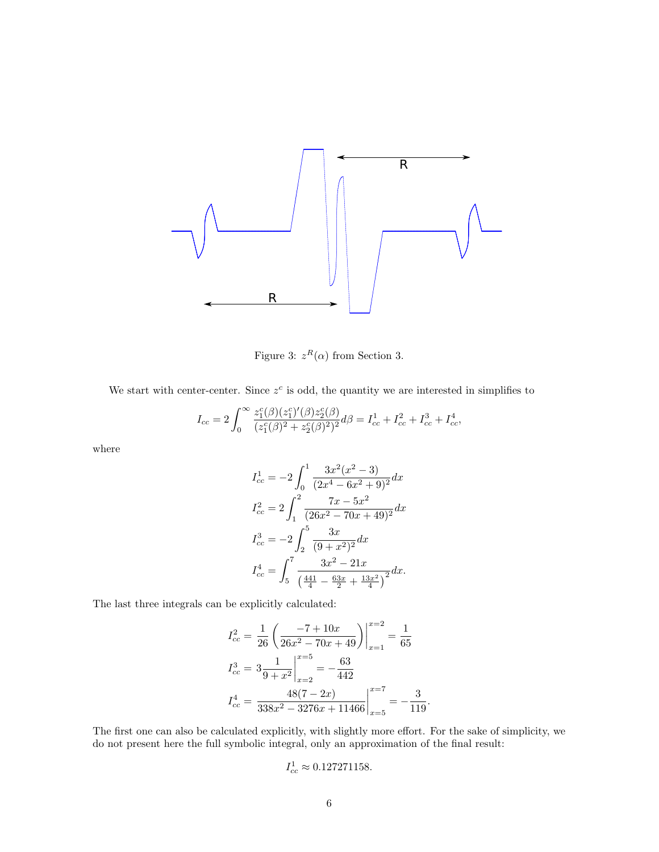

Figure 3:  $z^R(\alpha)$  from Section 3.

We start with center-center. Since  $z^c$  is odd, the quantity we are interested in simplifies to

$$
I_{cc} = 2 \int_0^\infty \frac{z_1^c(\beta)(z_1^c)'(\beta)z_2^c(\beta)}{(z_1^c(\beta)^2 + z_2^c(\beta)^2)^2} d\beta = I_{cc}^1 + I_{cc}^2 + I_{cc}^3 + I_{cc}^4,
$$

where

$$
I_{cc}^1 = -2 \int_0^1 \frac{3x^2(x^2 - 3)}{(2x^4 - 6x^2 + 9)^2} dx
$$
  
\n
$$
I_{cc}^2 = 2 \int_1^2 \frac{7x - 5x^2}{(26x^2 - 70x + 49)^2} dx
$$
  
\n
$$
I_{cc}^3 = -2 \int_2^5 \frac{3x}{(9 + x^2)^2} dx
$$
  
\n
$$
I_{cc}^4 = \int_5^7 \frac{3x^2 - 21x}{\left(\frac{441}{4} - \frac{63x}{2} + \frac{13x^2}{4}\right)^2} dx.
$$

The last three integrals can be explicitly calculated:

$$
I_{cc}^2 = \frac{1}{26} \left( \frac{-7 + 10x}{26x^2 - 70x + 49} \right) \Big|_{x=1}^{x=2} = \frac{1}{65}
$$
  

$$
I_{cc}^3 = 3 \frac{1}{9 + x^2} \Big|_{x=2}^{x=5} = -\frac{63}{442}
$$
  

$$
I_{cc}^4 = \frac{48(7 - 2x)}{338x^2 - 3276x + 11466} \Big|_{x=5}^{x=7} = -\frac{3}{119}
$$

The first one can also be calculated explicitly, with slightly more effort. For the sake of simplicity, we do not present here the full symbolic integral, only an approximation of the final result:

.

$$
I_{cc}^1 \approx 0.127271158.
$$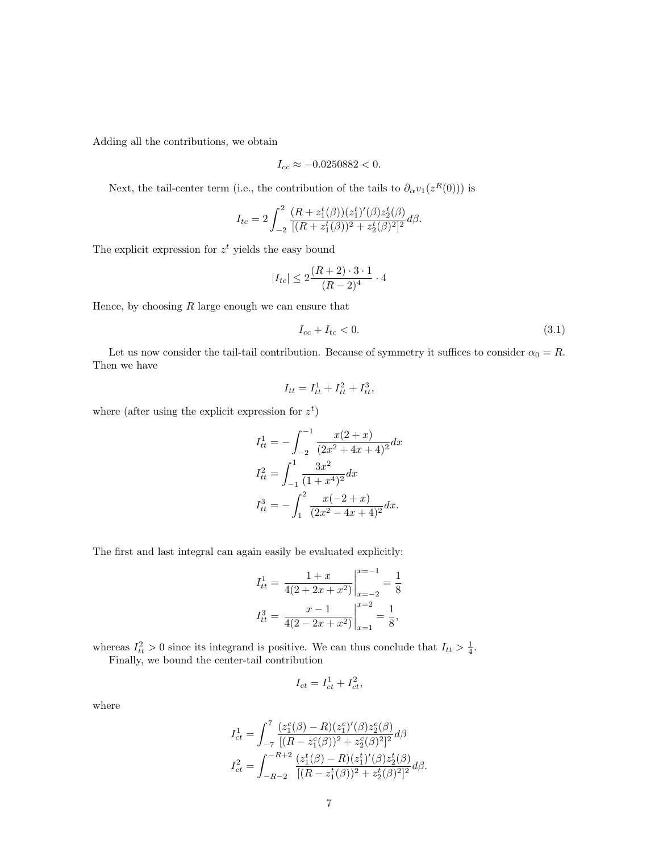Adding all the contributions, we obtain

$$
I_{cc} \approx -0.0250882 < 0.
$$

Next, the tail-center term (i.e., the contribution of the tails to  $\partial_{\alpha}v_1(z^R(0))$ ) is

$$
I_{tc} = 2 \int_{-2}^{2} \frac{(R + z_1^t(\beta))(z_1^t)'(\beta)z_2^t(\beta)}{[(R + z_1^t(\beta))^2 + z_2^t(\beta)^2]^2} d\beta.
$$

The explicit expression for  $z<sup>t</sup>$  yields the easy bound

$$
|I_{tc}| \le 2\frac{(R+2)\cdot 3\cdot 1}{(R-2)^4}\cdot 4
$$

Hence, by choosing  $R$  large enough we can ensure that

$$
I_{cc} + I_{tc} < 0. \tag{3.1}
$$

Let us now consider the tail-tail contribution. Because of symmetry it suffices to consider  $\alpha_0 = R$ . Then we have

$$
I_{tt} = I_{tt}^1 + I_{tt}^2 + I_{tt}^3,
$$

where (after using the explicit expression for  $z^t$ )

$$
I_{tt}^{1} = -\int_{-2}^{-1} \frac{x(2+x)}{(2x^2 + 4x + 4)^2} dx
$$

$$
I_{tt}^{2} = \int_{-1}^{1} \frac{3x^2}{(1+x^4)^2} dx
$$

$$
I_{tt}^{3} = -\int_{1}^{2} \frac{x(-2+x)}{(2x^2 - 4x + 4)^2} dx.
$$

The first and last integral can again easily be evaluated explicitly:

$$
I_{tt}^{1} = \frac{1+x}{4(2+2x+x^2)} \Big|_{x=-2}^{x=-1} = \frac{1}{8}
$$

$$
I_{tt}^{3} = \frac{x-1}{4(2-2x+x^2)} \Big|_{x=1}^{x=2} = \frac{1}{8},
$$

whereas  $I_{tt}^2 > 0$  since its integrand is positive. We can thus conclude that  $I_{tt} > \frac{1}{4}$ .

Finally, we bound the center-tail contribution

$$
I_{ct} = I_{ct}^1 + I_{ct}^2,
$$

where

$$
I_{ct}^{1} = \int_{-7}^{7} \frac{(z_{1}^{c}(\beta) - R)(z_{1}^{c})'(\beta)z_{2}^{c}(\beta)}{[(R - z_{1}^{c}(\beta))^{2} + z_{2}^{c}(\beta)^{2}]^{2}} d\beta
$$
  

$$
I_{ct}^{2} = \int_{-R-2}^{-R+2} \frac{(z_{1}^{t}(\beta) - R)(z_{1}^{t})'(\beta)z_{2}^{t}(\beta)}{[(R - z_{1}^{t}(\beta))^{2} + z_{2}^{t}(\beta)^{2}]^{2}} d\beta.
$$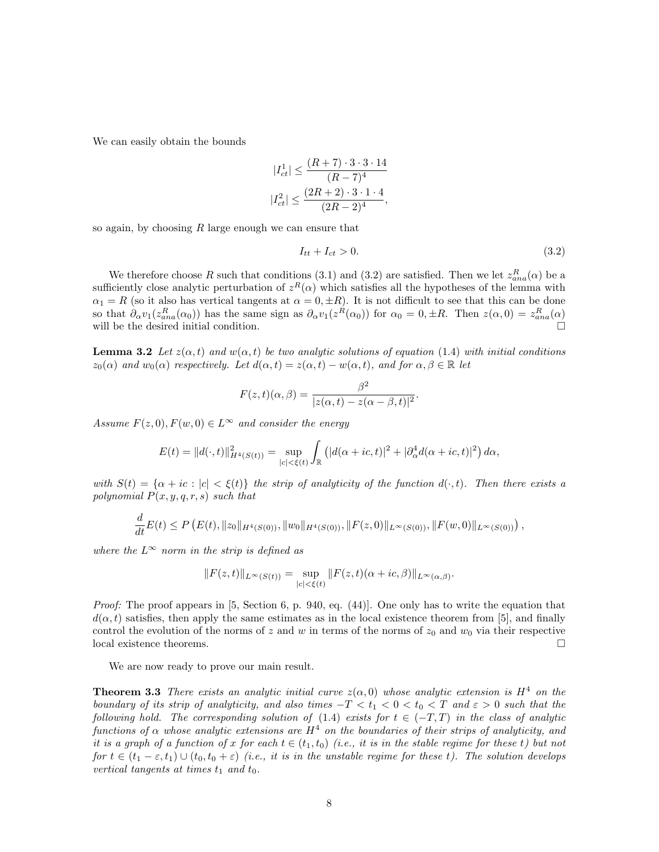We can easily obtain the bounds

$$
|I_{ct}^1| \le \frac{(R+7)\cdot 3\cdot 3\cdot 14}{(R-7)^4}
$$
  

$$
|I_{ct}^2| \le \frac{(2R+2)\cdot 3\cdot 1\cdot 4}{(2R-2)^4},
$$

so again, by choosing  $R$  large enough we can ensure that

$$
I_{tt} + I_{ct} > 0. \tag{3.2}
$$

.

We therefore choose R such that conditions (3.1) and (3.2) are satisfied. Then we let  $z_{ana}^R(\alpha)$  be a sufficiently close analytic perturbation of  $z^R(\alpha)$  which satisfies all the hypotheses of the lemma with  $\alpha_1 = R$  (so it also has vertical tangents at  $\alpha = 0, \pm R$ ). It is not difficult to see that this can be done so that  $\partial_\alpha v_1(z_{ana}^R(\alpha_0))$  has the same sign as  $\partial_\alpha v_1(z^R(\alpha_0))$  for  $\alpha_0 = 0, \pm R$ . Then  $z(\alpha, 0) = z_{ana}^R(\alpha)$ will be the desired initial condition.

**Lemma 3.2** Let  $z(\alpha, t)$  and  $w(\alpha, t)$  be two analytic solutions of equation (1.4) with initial conditions  $z_0(\alpha)$  and  $w_0(\alpha)$  respectively. Let  $d(\alpha, t) = z(\alpha, t) - w(\alpha, t)$ , and for  $\alpha, \beta \in \mathbb{R}$  let

$$
F(z,t)(\alpha,\beta) = \frac{\beta^2}{|z(\alpha,t) - z(\alpha - \beta, t)|^2}
$$

Assume  $F(z, 0), F(w, 0) \in L^{\infty}$  and consider the energy

$$
E(t) = ||d(\cdot, t)||_{H^4(S(t))}^2 = \sup_{|c| < \xi(t)} \int_{\mathbb{R}} \left( |d(\alpha + ic, t)|^2 + |\partial_{\alpha}^4 d(\alpha + ic, t)|^2 \right) d\alpha,
$$

with  $S(t) = {\alpha + ic : |c| < \xi(t)}$  the strip of analyticity of the function  $d(\cdot, t)$ . Then there exists a polynomial  $P(x, y, q, r, s)$  such that

$$
\frac{d}{dt}E(t) \le P\left(E(t), \|z_0\|_{H^4(S(0))}, \|w_0\|_{H^4(S(0))}, \|F(z,0)\|_{L^\infty(S(0))}, \|F(w,0)\|_{L^\infty(S(0))}\right),
$$

where the  $L^{\infty}$  norm in the strip is defined as

$$
||F(z,t)||_{L^{\infty}(S(t))} = \sup_{|c|<\xi(t)} ||F(z,t)(\alpha+ic,\beta)||_{L^{\infty}(\alpha,\beta)}.
$$

Proof: The proof appears in [5, Section 6, p. 940, eq. (44)]. One only has to write the equation that  $d(\alpha, t)$  satisfies, then apply the same estimates as in the local existence theorem from [5], and finally control the evolution of the norms of z and w in terms of the norms of  $z_0$  and  $w_0$  via their respective local existence theorems.  $\hfill \square$ 

We are now ready to prove our main result.

**Theorem 3.3** There exists an analytic initial curve  $z(\alpha, 0)$  whose analytic extension is  $H^4$  on the boundary of its strip of analyticity, and also times  $-T < t_1 < 0 < t_0 < T$  and  $\varepsilon > 0$  such that the following hold. The corresponding solution of (1.4) exists for  $t \in (-T, T)$  in the class of analytic functions of  $\alpha$  whose analytic extensions are  $H^4$  on the boundaries of their strips of analyticity, and it is a graph of a function of x for each  $t \in (t_1, t_0)$  (i.e., it is in the stable regime for these t) but not for  $t \in (t_1 - \varepsilon, t_1) \cup (t_0, t_0 + \varepsilon)$  (i.e., it is in the unstable regime for these t). The solution develops vertical tangents at times  $t_1$  and  $t_0$ .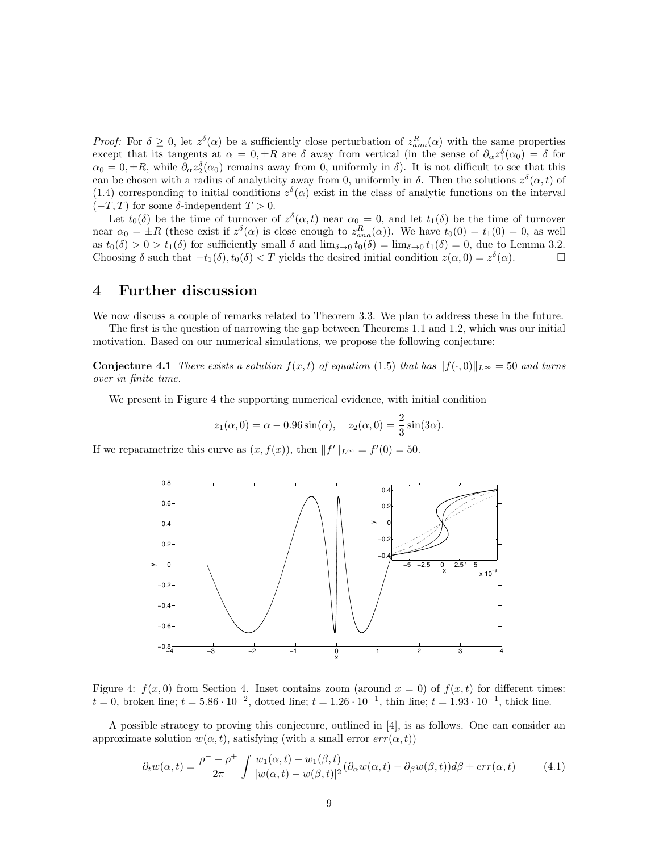*Proof:* For  $\delta \geq 0$ , let  $z^{\delta}(\alpha)$  be a sufficiently close perturbation of  $z_{ana}^R(\alpha)$  with the same properties except that its tangents at  $\alpha = 0, \pm R$  are δ away from vertical (in the sense of  $\partial_{\alpha} z_1^{\delta}(\alpha_0) = \delta$  for  $\alpha_0 = 0, \pm R$ , while  $\partial_\alpha z_2^{\delta}(\alpha_0)$  remains away from 0, uniformly in  $\delta$ ). It is not difficult to see that this can be chosen with a radius of analyticity away from 0, uniformly in  $\delta$ . Then the solutions  $z^{\delta}(\alpha, t)$  of (1.4) corresponding to initial conditions  $z^{\delta}(\alpha)$  exist in the class of analytic functions on the interval  $(-T, T)$  for some  $\delta$ -independent  $T > 0$ .

Let  $t_0(\delta)$  be the time of turnover of  $z^{\delta}(\alpha, t)$  near  $\alpha_0 = 0$ , and let  $t_1(\delta)$  be the time of turnover near  $\alpha_0 = \pm R$  (these exist if  $z^{\delta}(\alpha)$  is close enough to  $z_{ana}^R(\alpha)$ ). We have  $t_0(0) = t_1(0) = 0$ , as well as  $t_0(\delta) > 0 > t_1(\delta)$  for sufficiently small  $\delta$  and  $\lim_{\delta \to 0} t_0(\delta) = \lim_{\delta \to 0} t_1(\delta) = 0$ , due to Lemma 3.2. Choosing  $\delta$  such that  $-t_1(\delta)$ ,  $t_0(\delta) < T$  yields the desired initial condition  $z(\alpha, 0) = z^{\delta}(\alpha)$ .

### 4 Further discussion

We now discuss a couple of remarks related to Theorem 3.3. We plan to address these in the future.

The first is the question of narrowing the gap between Theorems 1.1 and 1.2, which was our initial motivation. Based on our numerical simulations, we propose the following conjecture:

**Conjecture 4.1** There exists a solution  $f(x,t)$  of equation (1.5) that has  $||f(\cdot, 0)||_{L^{\infty}} = 50$  and turns over in finite time.

We present in Figure 4 the supporting numerical evidence, with initial condition

$$
z_1(\alpha, 0) = \alpha - 0.96 \sin(\alpha), \quad z_2(\alpha, 0) = \frac{2}{3} \sin(3\alpha).
$$

If we reparametrize this curve as  $(x, f(x))$ , then  $||f'||_{L^{\infty}} = f'(0) = 50$ .



Figure 4:  $f(x, 0)$  from Section 4. Inset contains zoom (around  $x = 0$ ) of  $f(x, t)$  for different times:  $t = 0$ , broken line;  $t = 5.86 \cdot 10^{-2}$ , dotted line;  $t = 1.26 \cdot 10^{-1}$ , thin line;  $t = 1.93 \cdot 10^{-1}$ , thick line.

A possible strategy to proving this conjecture, outlined in [4], is as follows. One can consider an approximate solution  $w(\alpha, t)$ , satisfying (with a small error  $err(\alpha, t)$ )

$$
\partial_t w(\alpha, t) = \frac{\rho^- - \rho^+}{2\pi} \int \frac{w_1(\alpha, t) - w_1(\beta, t)}{|w(\alpha, t) - w(\beta, t)|^2} (\partial_\alpha w(\alpha, t) - \partial_\beta w(\beta, t)) d\beta + \text{err}(\alpha, t) \tag{4.1}
$$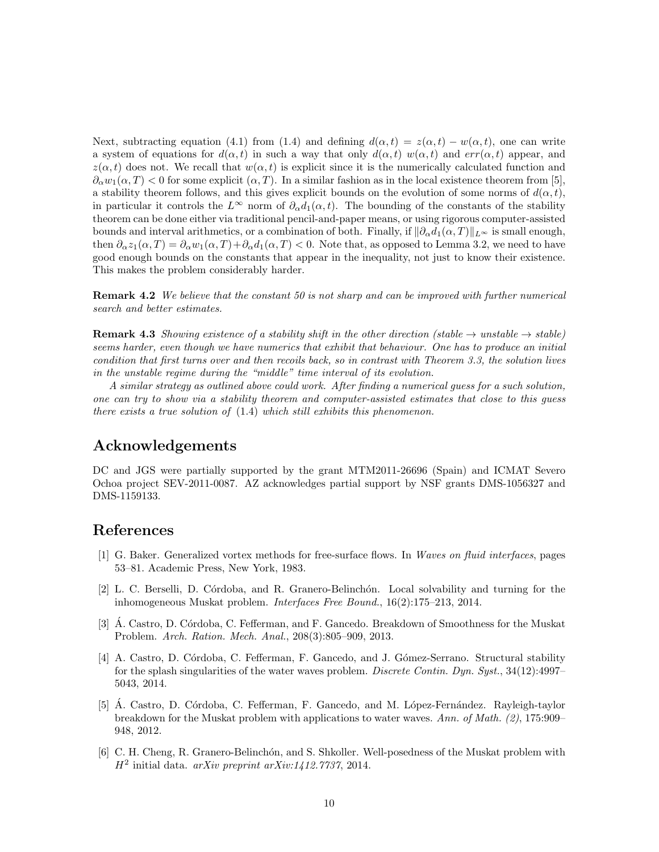Next, subtracting equation (4.1) from (1.4) and defining  $d(\alpha, t) = z(\alpha, t) - w(\alpha, t)$ , one can write a system of equations for  $d(\alpha, t)$  in such a way that only  $d(\alpha, t)$  w( $\alpha, t$ ) and err( $\alpha, t$ ) appear, and  $z(\alpha, t)$  does not. We recall that  $w(\alpha, t)$  is explicit since it is the numerically calculated function and  $\partial_{\alpha}w_1(\alpha,T) < 0$  for some explicit  $(\alpha,T)$ . In a similar fashion as in the local existence theorem from [5], a stability theorem follows, and this gives explicit bounds on the evolution of some norms of  $d(\alpha, t)$ , in particular it controls the  $L^{\infty}$  norm of  $\partial_{\alpha}d_1(\alpha,t)$ . The bounding of the constants of the stability theorem can be done either via traditional pencil-and-paper means, or using rigorous computer-assisted bounds and interval arithmetics, or a combination of both. Finally, if  $\|\partial_{\alpha}d_1(\alpha, T)\|_{L^{\infty}}$  is small enough, then  $\partial_{\alpha}z_1(\alpha,T) = \partial_{\alpha}w_1(\alpha,T) + \partial_{\alpha}d_1(\alpha,T) < 0$ . Note that, as opposed to Lemma 3.2, we need to have good enough bounds on the constants that appear in the inequality, not just to know their existence. This makes the problem considerably harder.

**Remark 4.2** We believe that the constant 50 is not sharp and can be improved with further numerical search and better estimates.

**Remark 4.3** Showing existence of a stability shift in the other direction (stable  $\rightarrow$  unstable  $\rightarrow$  stable) seems harder, even though we have numerics that exhibit that behaviour. One has to produce an initial condition that first turns over and then recoils back, so in contrast with Theorem 3.3, the solution lives in the unstable regime during the "middle" time interval of its evolution.

A similar strategy as outlined above could work. After finding a numerical guess for a such solution, one can try to show via a stability theorem and computer-assisted estimates that close to this guess there exists a true solution of (1.4) which still exhibits this phenomenon.

# Acknowledgements

DC and JGS were partially supported by the grant MTM2011-26696 (Spain) and ICMAT Severo Ochoa project SEV-2011-0087. AZ acknowledges partial support by NSF grants DMS-1056327 and DMS-1159133.

## References

- [1] G. Baker. Generalized vortex methods for free-surface flows. In Waves on fluid interfaces, pages 53–81. Academic Press, New York, 1983.
- [2] L. C. Berselli, D. C´ordoba, and R. Granero-Belinch´on. Local solvability and turning for the inhomogeneous Muskat problem. Interfaces Free Bound., 16(2):175–213, 2014.
- [3]  $\AA$ . Castro, D. Córdoba, C. Fefferman, and F. Gancedo. Breakdown of Smoothness for the Muskat Problem. Arch. Ration. Mech. Anal., 208(3):805–909, 2013.
- [4] A. Castro, D. Córdoba, C. Fefferman, F. Gancedo, and J. Gómez-Serrano. Structural stability for the splash singularities of the water waves problem. *Discrete Contin. Dyn. Syst.*, 34(12):4997– 5043, 2014.
- [5] Á. Castro, D. Córdoba, C. Fefferman, F. Gancedo, and M. López-Fernández. Rayleigh-taylor breakdown for the Muskat problem with applications to water waves. Ann. of Math. (2), 175:909– 948, 2012.
- [6] C. H. Cheng, R. Granero-Belinchón, and S. Shkoller. Well-posedness of the Muskat problem with  $H<sup>2</sup>$  initial data. arXiv preprint arXiv:1412.7737, 2014.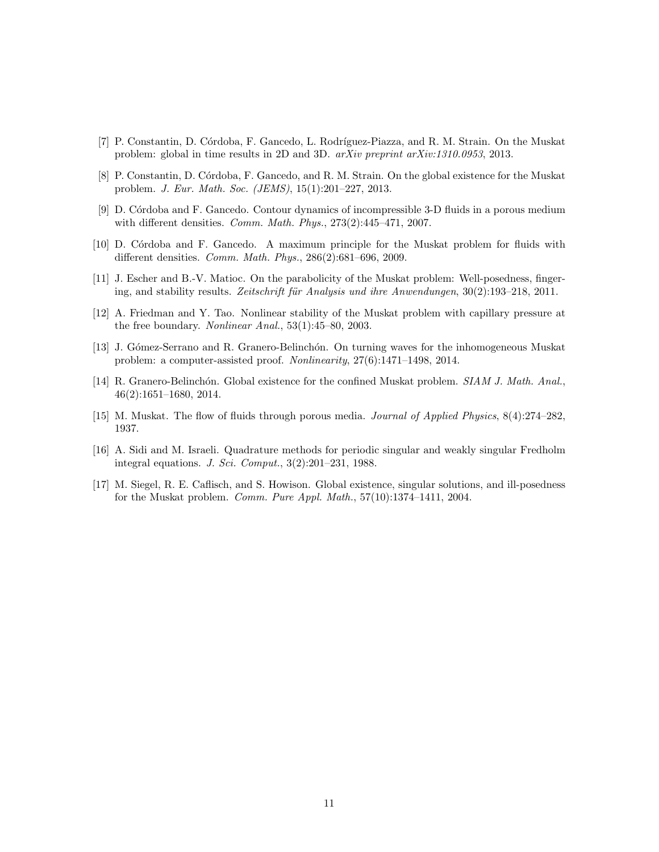- [7] P. Constantin, D. Córdoba, F. Gancedo, L. Rodríguez-Piazza, and R. M. Strain. On the Muskat problem: global in time results in 2D and 3D. arXiv preprint arXiv:1310.0953, 2013.
- [8] P. Constantin, D. Córdoba, F. Gancedo, and R. M. Strain. On the global existence for the Muskat problem. J. Eur. Math. Soc. (JEMS), 15(1):201–227, 2013.
- [9] D. C´ordoba and F. Gancedo. Contour dynamics of incompressible 3-D fluids in a porous medium with different densities. Comm. Math. Phys., 273(2):445–471, 2007.
- [10] D. C´ordoba and F. Gancedo. A maximum principle for the Muskat problem for fluids with different densities. Comm. Math. Phys., 286(2):681–696, 2009.
- [11] J. Escher and B.-V. Matioc. On the parabolicity of the Muskat problem: Well-posedness, fingering, and stability results. Zeitschrift für Analysis und ihre Anwendungen,  $30(2)$ :193–218, 2011.
- [12] A. Friedman and Y. Tao. Nonlinear stability of the Muskat problem with capillary pressure at the free boundary. Nonlinear Anal., 53(1):45–80, 2003.
- [13] J. Gómez-Serrano and R. Granero-Belinchón. On turning waves for the inhomogeneous Muskat problem: a computer-assisted proof. Nonlinearity, 27(6):1471–1498, 2014.
- [14] R. Granero-Belinchón. Global existence for the confined Muskat problem. SIAM J. Math. Anal., 46(2):1651–1680, 2014.
- [15] M. Muskat. The flow of fluids through porous media. Journal of Applied Physics, 8(4):274–282, 1937.
- [16] A. Sidi and M. Israeli. Quadrature methods for periodic singular and weakly singular Fredholm integral equations. J. Sci. Comput., 3(2):201–231, 1988.
- [17] M. Siegel, R. E. Caflisch, and S. Howison. Global existence, singular solutions, and ill-posedness for the Muskat problem. Comm. Pure Appl. Math., 57(10):1374–1411, 2004.